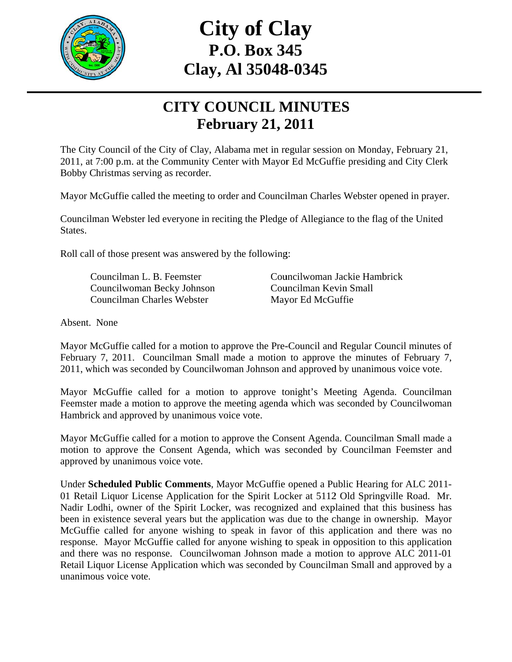

## **C Clay, Al l 35048 8-0345 City of Clay P.O. . Box 34 45**

## **CITY COUNCIL MINUTES Februa ary 21, 2 2011**

The City Council of the City of Clay, Alabama met in regular session on Monday, February 21, 2011, at 7:00 p.m. at the Community Center with Mayor Ed McGuffie presiding and City Clerk Bobby Christmas serving as recorder.

Mayor McGuffie called the meeting to order and Councilman Charles Webster opened in prayer.

Councilman Webster led everyone in reciting the Pledge of Allegiance to the flag of the United States.

Roll call of those present was answered by the following:

Councilman L. B. Feemster Councilwoman Becky Johnson Councilman Charles Webster

Councilwoman Jackie Hambrick Councilman Kevin Small Mayor Ed McGuffie

Absent. None

Mayor McGuffie called for a motion to approve the Pre-Council and Regular Council minutes of February 7, 2011. Councilman Small made a motion to approve the minutes of February 7, 2011, which was seconded by Councilwoman Johnson and approved by unanimous voice vote.

Mayor McGuffie called for a motion to approve tonight's Meeting Agenda. Councilman Feemster made a motion to approve the meeting agenda which was seconded by Councilwoman Hambrick and approved by unanimous voice vote.

Mayor McGuffie called for a motion to approve the Consent Agenda. Councilman Small made a motion to approve the Consent Agenda, which was seconded by Councilman Feemster and approved by unanimous voice vote.

Under Scheduled Public Comments, Mayor McGuffie opened a Public Hearing for ALC 2011-01 Retail Liquor License Application for the Spirit Locker at 5112 Old Springville Road. Mr. Nadir Lodhi, owner of the Spirit Locker, was recognized and explained that this business has been in existence several years but the application was due to the change in ownership. Mayor McGuffie called for anyone wishing to speak in favor of this application and there was no response. Mayor McGuffie called for anyone wishing to speak in opposition to this application and there was no response. Councilwoman Johnson made a motion to approve ALC 2011-01 Retail Liquor License Application which was seconded by Councilman Small and approved by a unanimous voice vote.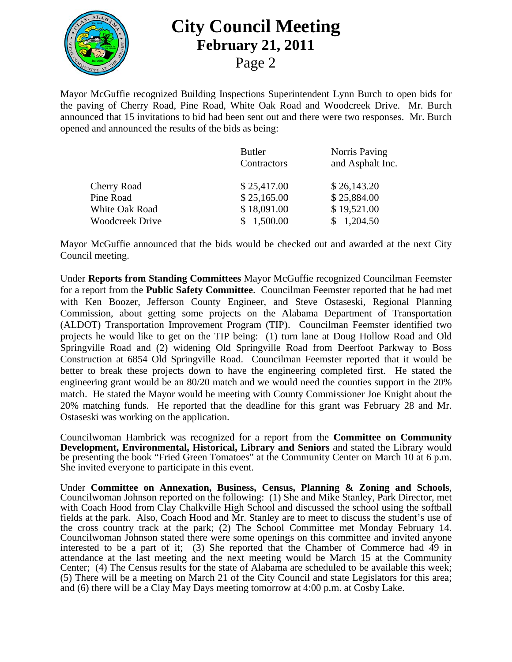

Mayor McGuffie recognized Building Inspections Superintendent Lynn Burch to open bids for the paving of Cherry Road, Pine Road, White Oak Road and Woodcreek Drive. Mr. Burch announced that 15 invitations to bid had been sent out and there were two responses. Mr. Burch opened and announced the results of the bids as being:

| <b>Butler</b><br>Contractors | Norris Paving<br>and Asphalt Inc. |
|------------------------------|-----------------------------------|
| \$25,417.00                  | \$26,143.20                       |
| \$25,165.00                  | \$25,884.00                       |
| \$18,091.00<br>1,500.00      | \$19,521.00<br>\$1,204.50         |
|                              |                                   |

Mayor McGuffie announced that the bids would be checked out and awarded at the next City Council meeting.

Under Reports from Standing Committees Mayor McGuffie recognized Councilman Feemster for a report from the **Public Safety Committee**. Councilman Feemster reported that he had met with Ken Boozer, Jefferson County Engineer, and Steve Ostaseski, Regional Planning Commission, about getting some projects on the Alabama Department of Transportation (ALDOT) Transportation Improvement Program (TIP). Councilman Feemster identified two projects he would like to get on the TIP being: (1) turn lane at Doug Hollow Road and Old Springville Road and (2) widening Old Springville Road from Deerfoot Parkway to Boss Construction at 6854 Old Springville Road. Councilman Feemster reported that it would be better to break these projects down to have the engineering completed first. He stated the engineering grant would be an 80/20 match and we would need the counties support in the 20% match. He stated the Mayor would be meeting with County Commissioner Joe Knight about the 20% matching funds. He reported that the deadline for this grant was February 28 and Mr. Ostaseski was working on the application.

Councilwoman Hambrick was recognized for a report from the **Committee on Community** Development, Environmental, Historical, Library and Seniors and stated the Library would be presenting the book "Fried Green Tomatoes" at the Community Center on March 10 at 6 p.m. She invited everyone to participate in this event.

Under Committee on Annexation, Business, Census, Planning & Zoning and Schools, Councilwoman Johnson reported on the following: (1) She and Mike Stanley, Park Director, met with Coach Hood from Clay Chalkville High School and discussed the school using the softball fields at the park. Also, Coach Hood and Mr. Stanley are to meet to discuss the student's use of the cross country track at the park; (2) The School Committee met Monday February 14. Councilwoman Johnson stated there were some openings on this committee and invited anyone interested to be a part of it; (3) She reported that the Chamber of Commerce had 49 in attendance at the last meeting and the next meeting would be March 15 at the Community Center; (4) The Census results for the state of Alabama are scheduled to be available this week; (5) There will be a meeting on March 21 of the City Council and state Legislators for this area; and (6) there will be a Clay May Days meeting tomorrow at 4:00 p.m. at Cosby Lake.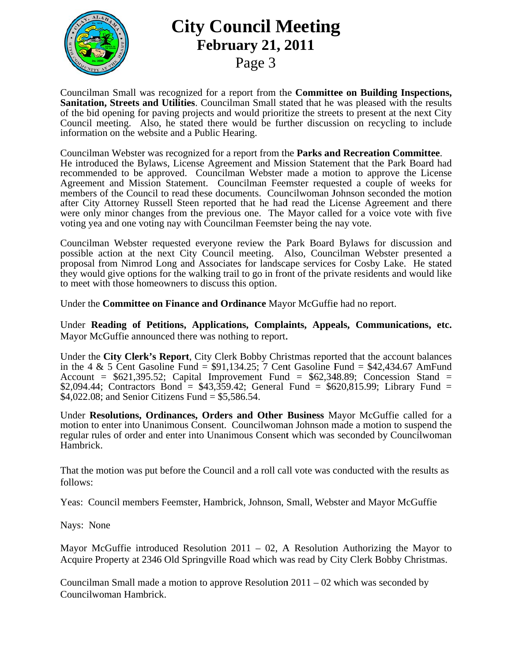

## **City Council Meeting February 21, 2011**

Page 3

Councilman Small was recognized for a report from the **Committee on Building Inspections, Sanitation, Streets and Utilities.** Councilman Small stated that he was pleased with the results of the bid opening for paving projects and would prioritize the streets to present at the next City Council meeting. Also, he stated there would be further discussion on recycling to include information on the website and a Public Hearing.

Councilman Webster was recognized for a report from the **Parks and Recreation Committee**. He introduced the Bylaws, License Agreement and Mission Statement that the Park Board had recommended to be approved. Councilman Webster made a motion to approve the License Agreement and Mission Statement. Councilman Feemster requested a couple of weeks for members of the Council to read these documents. Council woman Johnson seconded the motion after City Attorney Russell Steen reported that he had read the License Agreement and there were only minor changes from the previous one. The Mayor called for a voice vote with five voting yea and one voting nay with Councilman Feemster being the nay vote.

Councilman Webster requested everyone review the Park Board Bylaws for discussion and possible action at the next City Council meeting. Also, Councilman Webster presented a proposal from Nimrod Long and Associates for landscape services for Cosby Lake. He stated they would give options for the walking trail to go in front of the private residents and would like to meet with those homeowners to discuss this option.

Under the Committee on Finance and Ordinance Mayor McGuffie had no report.

Under Reading of Petitions, Applications, Complaints, Appeals, Communications, etc. Mayor McGuffie announced there was nothing to report.

Under the City Clerk's Report, City Clerk Bobby Christmas reported that the account balances in the 4 & 5 Cent Gasoline Fund =  $$91,134.25$ ; 7 Cent Gasoline Fund =  $$42,434.67$  AmFund Account =  $$621,395.52$ ; Capital Improvement Fund =  $$62,348.89$ ; Concession Stand = \$2,094.44; Contractors Bond = \$43,359.42; General Fund = \$620,815.99; Library Fund = \$4,022.08; and Senior Citizens Fund =  $$5,586.54$ .

Under Resolutions, Ordinances, Orders and Other Business Mayor McGuffie called for a motion to enter into Unanimous Consent. Council woman Johnson made a motion to suspend the regular rules of order and enter into Unanimous Consent which was seconded by Councilwoman Hambrick.

That the motion was put before the Council and a roll call vote was conducted with the results as  $follows:$ 

Yeas: Council members Feemster, Hambrick, Johnson, Small, Webster and Mayor McGuffie

Nays: None

Mayor McGuffie introduced Resolution 2011 – 02, A Resolution Authorizing the Mayor to Acquire Property at 2346 Old Springville Road which was read by City Clerk Bobby Christmas.

Councilman Small made a motion to approve Resolution  $2011 - 02$  which was seconded by Councilwoman Hambrick.